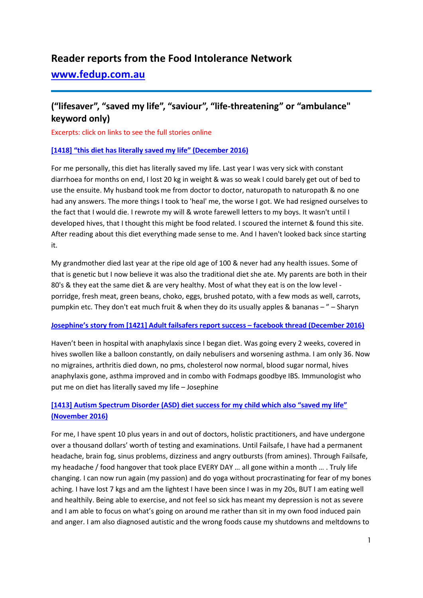# **Reader reports from the Food Intolerance Network**

# **[www.fedup.com.au](http://www.fedup.com.au/)**

# **("lifesaver", "saved my life", "saviour", "life-threatening" or "ambulance" keyword only)**

Excerpts: click on links to see the full stories online

## **[\[1418\] "this diet has literally saved my life" \(December 2016\)](http://fedup.com.au/stories/2016/1418-this-diet-has-literally-saved-my-life-december-2016)**

For me personally, this diet has literally saved my life. Last year I was very sick with constant diarrhoea for months on end, I lost 20 kg in weight & was so weak I could barely get out of bed to use the ensuite. My husband took me from doctor to doctor, naturopath to naturopath & no one had any answers. The more things I took to 'heal' me, the worse I got. We had resigned ourselves to the fact that I would die. I rewrote my will & wrote farewell letters to my boys. It wasn't until I developed hives, that I thought this might be food related. I scoured the internet & found this site. After reading about this diet everything made sense to me. And I haven't looked back since starting it.

My grandmother died last year at the ripe old age of 100 & never had any health issues. Some of that is genetic but I now believe it was also the traditional diet she ate. My parents are both in their 80's & they eat the same diet & are very healthy. Most of what they eat is on the low level porridge, fresh meat, green beans, choko, eggs, brushed potato, with a few mods as well, carrots, pumpkin etc. They don't eat much fruit & when they do its usually apples & bananas – " – Sharyn

#### **[Josephine's story from \[1421\] Adult failsafers report success –](http://fedup.com.au/stories/2016/1421-adult-failsafers-report-success-facebook-thread-december-2016) facebook thread (December 2016)**

Haven't been in hospital with anaphylaxis since I began diet. Was going every 2 weeks, covered in hives swollen like a balloon constantly, on daily nebulisers and worsening asthma. I am only 36. Now no migraines, arthritis died down, no pms, cholesterol now normal, blood sugar normal, hives anaphylaxis gone, asthma improved and in combo with Fodmaps goodbye IBS. Immunologist who put me on diet has literally saved my life – Josephine

## **[\[1413\] Autism Spectrum Disorder \(ASD\) diet success for my child which also "saved my life"](http://fedup.com.au/stories/2016/1413-autism-spectrum-disorder-asd-diet-success-for-my-child-which-also-saved-my-life-november-2016)  [\(November 2016\)](http://fedup.com.au/stories/2016/1413-autism-spectrum-disorder-asd-diet-success-for-my-child-which-also-saved-my-life-november-2016)**

For me, I have spent 10 plus years in and out of doctors, holistic practitioners, and have undergone over a thousand dollars' worth of testing and examinations. Until Failsafe, I have had a permanent headache, brain fog, sinus problems, dizziness and angry outbursts (from amines). Through Failsafe, my headache / food hangover that took place EVERY DAY … all gone within a month … . Truly life changing. I can now run again (my passion) and do yoga without procrastinating for fear of my bones aching. I have lost 7 kgs and am the lightest I have been since I was in my 20s, BUT I am eating well and healthily. Being able to exercise, and not feel so sick has meant my depression is not as severe and I am able to focus on what's going on around me rather than sit in my own food induced pain and anger. I am also diagnosed autistic and the wrong foods cause my shutdowns and meltdowns to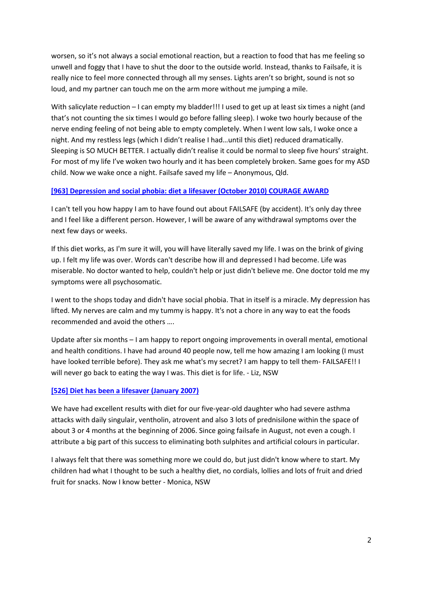worsen, so it's not always a social emotional reaction, but a reaction to food that has me feeling so unwell and foggy that I have to shut the door to the outside world. Instead, thanks to Failsafe, it is really nice to feel more connected through all my senses. Lights aren't so bright, sound is not so loud, and my partner can touch me on the arm more without me jumping a mile.

With salicylate reduction – I can empty my bladder!!! I used to get up at least six times a night (and that's not counting the six times I would go before falling sleep). I woke two hourly because of the nerve ending feeling of not being able to empty completely. When I went low sals, I woke once a night. And my restless legs (which I didn't realise I had…until this diet) reduced dramatically. Sleeping is SO MUCH BETTER. I actually didn't realise it could be normal to sleep five hours' straight. For most of my life I've woken two hourly and it has been completely broken. Same goes for my ASD child. Now we wake once a night. Failsafe saved my life – Anonymous, Qld.

#### **[\[963\] Depression and social phobia: diet a lifesaver \(October 2010\) COURAGE AWARD](http://www.fedup.com.au/stories/2010/963-depression-and-social-phobia-diet-a-lifesaver-october-2010-courage-award)**

I can't tell you how happy I am to have found out about FAILSAFE (by accident). It's only day three and I feel like a different person. However, I will be aware of any withdrawal symptoms over the next few days or weeks.

If this diet works, as I'm sure it will, you will have literally saved my life. I was on the brink of giving up. I felt my life was over. Words can't describe how ill and depressed I had become. Life was miserable. No doctor wanted to help, couldn't help or just didn't believe me. One doctor told me my symptoms were all psychosomatic.

I went to the shops today and didn't have social phobia. That in itself is a miracle. My depression has lifted. My nerves are calm and my tummy is happy. It's not a chore in any way to eat the foods recommended and avoid the others ….

Update after six months – I am happy to report ongoing improvements in overall mental, emotional and health conditions. I have had around 40 people now, tell me how amazing I am looking (I must have looked terrible before). They ask me what's my secret? I am happy to tell them- FAILSAFE!! I will never go back to eating the way I was. This diet is for life. - Liz, NSW

## **[\[526\] Diet has been a lifesaver \(January 2007\)](http://www.fedup.com.au/stories/2007/526-diet-has-been-a-lifesaver-january-2007)**

We have had excellent results with diet for our five-year-old daughter who had severe asthma attacks with daily singulair, ventholin, atrovent and also 3 lots of prednisilone within the space of about 3 or 4 months at the beginning of 2006. Since going failsafe in August, not even a cough. I attribute a big part of this success to eliminating both sulphites and artificial colours in particular.

I always felt that there was something more we could do, but just didn't know where to start. My children had what I thought to be such a healthy diet, no cordials, lollies and lots of fruit and dried fruit for snacks. Now I know better - Monica, NSW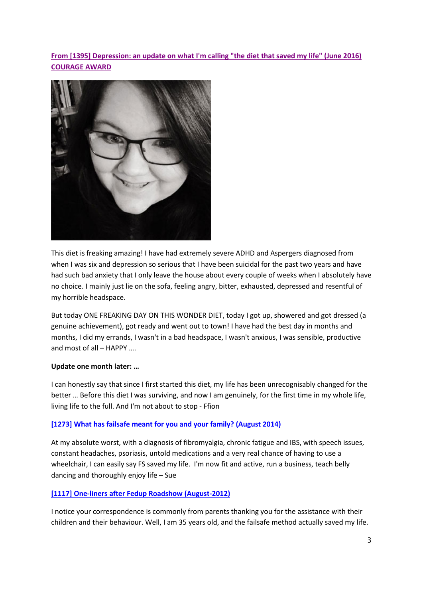**[From \[1395\] Depression: an update on what I'm calling "the diet that saved my life" \(June 2016\)](http://www.fedup.com.au/stories/2016/1395-depression-an-update-on-what-i-m-calling-the-diet-that-saved-my-life-june-2016-courage-award)  [COURAGE AWARD](http://www.fedup.com.au/stories/2016/1395-depression-an-update-on-what-i-m-calling-the-diet-that-saved-my-life-june-2016-courage-award)**



This diet is freaking amazing! I have had extremely severe ADHD and Aspergers diagnosed from when I was six and depression so serious that I have been suicidal for the past two years and have had such bad anxiety that I only leave the house about every couple of weeks when I absolutely have no choice. I mainly just lie on the sofa, feeling angry, bitter, exhausted, depressed and resentful of my horrible headspace.

But today ONE FREAKING DAY ON THIS WONDER DIET, today I got up, showered and got dressed (a genuine achievement), got ready and went out to town! I have had the best day in months and months, I did my errands, I wasn't in a bad headspace, I wasn't anxious, I was sensible, productive and most of all – HAPPY ….

#### **Update one month later: …**

I can honestly say that since I first started this diet, my life has been unrecognisably changed for the better … Before this diet I was surviving, and now I am genuinely, for the first time in my whole life, living life to the full. And I'm not about to stop - Ffion

#### **[1273] What has failsafe meant for you and your family? [\(August 2014\)](http://www.fedup.com.au/stories/2014/1273-what-has-failsafe-meant-for-you-and-your-family-august-2014)**

At my absolute worst, with a diagnosis of fibromyalgia, chronic fatigue and IBS, with speech issues, constant headaches, psoriasis, untold medications and a very real chance of having to use a wheelchair, I can easily say FS saved my life. I'm now fit and active, run a business, teach belly dancing and thoroughly enjoy life – Sue

#### **[\[1117\] One-liners](http://www.fedup.com.au/stories/2012/1117-one-liners-after-fedup-roadshow-august-2012) after Fedup Roadshow (August-2012)**

I notice your correspondence is commonly from parents thanking you for the assistance with their children and their behaviour. Well, I am 35 years old, and the failsafe method actually saved my life.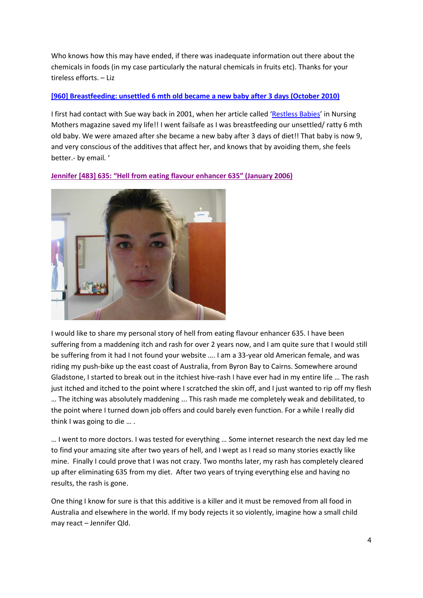Who knows how this may have ended, if there was inadequate information out there about the chemicals in foods (in my case particularly the natural chemicals in fruits etc). Thanks for your tireless efforts. – Liz

## **[\[960\] Breastfeeding: unsettled 6 mth old became a new baby after 3 days \(October 2010\)](http://www.fedup.com.au/stories/2010/960-breastfeeding-unsettled-6-mth-old-became-a-new-baby-after-3-days-october-2010)**

I first had contact with Sue way back in 2001, when her article called ['Restless Babies'](http://www.fedup.com.au/images/stories/restlessbabies.pdf) in Nursing Mothers magazine saved my life!! I went failsafe as I was breastfeeding our unsettled/ ratty 6 mth old baby. We were amazed after she became a new baby after 3 days of diet!! That baby is now 9, and very conscious of the additives that affect her, and knows that by avoiding them, she feels better.- by email. '

**[Jennifer \[483\] 635: "Hell from eating flavour enhancer 635" \(January 2006\)](http://www.fedup.com.au/stories/2006/483-635-hell-from-eating-flavour-enhancer-635-january-2006)**



I would like to share my personal story of hell from eating flavour enhancer 635. I have been suffering from a maddening itch and rash for over 2 years now, and I am quite sure that I would still be suffering from it had I not found your website …. I am a 33-year old American female, and was riding my push-bike up the east coast of Australia, from Byron Bay to Cairns. Somewhere around Gladstone, I started to break out in the itchiest hive-rash I have ever had in my entire life … The rash just itched and itched to the point where I scratched the skin off, and I just wanted to rip off my flesh … The itching was absolutely maddening ... This rash made me completely weak and debilitated, to the point where I turned down job offers and could barely even function. For a while I really did think I was going to die … .

… I went to more doctors. I was tested for everything … Some internet research the next day led me to find your amazing site after two years of hell, and I wept as I read so many stories exactly like mine. Finally I could prove that I was not crazy. Two months later, my rash has completely cleared up after eliminating 635 from my diet. After two years of trying everything else and having no results, the rash is gone.

One thing I know for sure is that this additive is a killer and it must be removed from all food in Australia and elsewhere in the world. If my body rejects it so violently, imagine how a small child may react – Jennifer Qld.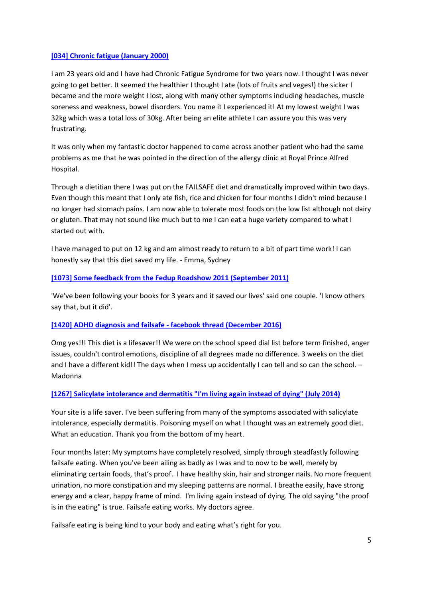#### **[\[034\] Chronic fatigue \(January 2000\)](http://www.fedup.com.au/stories/2000/034-chronic-fatigue-january-2000)**

I am 23 years old and I have had Chronic Fatigue Syndrome for two years now. I thought I was never going to get better. It seemed the healthier I thought I ate (lots of fruits and veges!) the sicker I became and the more weight I lost, along with many other symptoms including headaches, muscle soreness and weakness, bowel disorders. You name it I experienced it! At my lowest weight I was 32kg which was a total loss of 30kg. After being an elite athlete I can assure you this was very frustrating.

It was only when my fantastic doctor happened to come across another patient who had the same problems as me that he was pointed in the direction of the allergy clinic at Royal Prince Alfred Hospital.

Through a dietitian there I was put on the FAILSAFE diet and dramatically improved within two days. Even though this meant that I only ate fish, rice and chicken for four months I didn't mind because I no longer had stomach pains. I am now able to tolerate most foods on the low list although not dairy or gluten. That may not sound like much but to me I can eat a huge variety compared to what I started out with.

I have managed to put on 12 kg and am almost ready to return to a bit of part time work! I can honestly say that this diet saved my life. - Emma, Sydney

#### **[\[1073\] Some feedback from the Fedup Roadshow 2011 \(September 2011\)](http://www.fedup.com.au/stories/2011/1073-some-feedback-from-the-fedup-roadshow-2011-september-2011)**

'We've been following your books for 3 years and it saved our lives' said one couple. 'I know others say that, but it did'.

## **[\[1420\] ADHD diagnosis and failsafe -](http://www.fedup.com.au/stories/2016/1420-adhd-diagnosis-and-failsafe-facebook-thread-december-2016) facebook thread (December 2016)**

Omg yes!!! This diet is a lifesaver!! We were on the school speed dial list before term finished, anger issues, couldn't control emotions, discipline of all degrees made no difference. 3 weeks on the diet and I have a different kid!! The days when I mess up accidentally I can tell and so can the school. -Madonna

## **[\[1267\] Salicylate intolerance and dermatitis "I'm living again instead of dying" \(July 2014\)](http://www.fedup.com.au/stories/2014/1267-salicylate-intolerance-and-dermatitis-qim-living-again-instead-of-dyingq-july-2014)**

Your site is a life saver. I've been suffering from many of the symptoms associated with salicylate intolerance, especially dermatitis. Poisoning myself on what I thought was an extremely good diet. What an education. Thank you from the bottom of my heart.

Four months later: My symptoms have completely resolved, simply through steadfastly following failsafe eating. When you've been ailing as badly as I was and to now to be well, merely by eliminating certain foods, that's proof. I have healthy skin, hair and stronger nails. No more frequent urination, no more constipation and my sleeping patterns are normal. I breathe easily, have strong energy and a clear, happy frame of mind. I'm living again instead of dying. The old saying "the proof is in the eating" is true. Failsafe eating works. My doctors agree.

Failsafe eating is being kind to your body and eating what's right for you.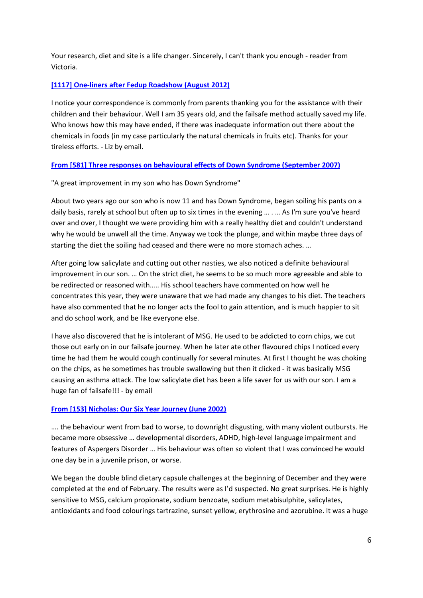Your research, diet and site is a life changer. Sincerely, I can't thank you enough - reader from Victoria.

## **[\[1117\] One-liners after Fedup Roadshow \(August 2012\)](http://www.fedup.com.au/stories/2012/1117-one-liners-after-fedup-roadshow-august-2012)**

I notice your correspondence is commonly from parents thanking you for the assistance with their children and their behaviour. Well I am 35 years old, and the failsafe method actually saved my life. Who knows how this may have ended, if there was inadequate information out there about the chemicals in foods (in my case particularly the natural chemicals in fruits etc). Thanks for your tireless efforts. - Liz by email.

## **[From \[581\] Three responses on behavioural effects of Down Syndrome \(September 2007\)](http://www.fedup.com.au/stories/2007/581-three-responses-on-behavioural-effects-of-down-syndrome-september-2007)**

"A great improvement in my son who has Down Syndrome"

About two years ago our son who is now 11 and has Down Syndrome, began soiling his pants on a daily basis, rarely at school but often up to six times in the evening … . … As I'm sure you've heard over and over, I thought we were providing him with a really healthy diet and couldn't understand why he would be unwell all the time. Anyway we took the plunge, and within maybe three days of starting the diet the soiling had ceased and there were no more stomach aches. …

After going low salicylate and cutting out other nasties, we also noticed a definite behavioural improvement in our son. … On the strict diet, he seems to be so much more agreeable and able to be redirected or reasoned with….. His school teachers have commented on how well he concentrates this year, they were unaware that we had made any changes to his diet. The teachers have also commented that he no longer acts the fool to gain attention, and is much happier to sit and do school work, and be like everyone else.

I have also discovered that he is intolerant of MSG. He used to be addicted to corn chips, we cut those out early on in our failsafe journey. When he later ate other flavoured chips I noticed every time he had them he would cough continually for several minutes. At first I thought he was choking on the chips, as he sometimes has trouble swallowing but then it clicked - it was basically MSG causing an asthma attack. The low salicylate diet has been a life saver for us with our son. I am a huge fan of failsafe!!! - by email

## **[From \[153\] Nicholas: Our Six Year Journey \(June 2002\)](http://www.fedup.com.au/stories/2002/153-nicholas-our-six-year-journey-june-2002)**

…. the behaviour went from bad to worse, to downright disgusting, with many violent outbursts. He became more obsessive … developmental disorders, ADHD, high-level language impairment and features of Aspergers Disorder … His behaviour was often so violent that I was convinced he would one day be in a juvenile prison, or worse.

We began the double blind dietary capsule challenges at the beginning of December and they were completed at the end of February. The results were as I'd suspected. No great surprises. He is highly sensitive to MSG, calcium propionate, sodium benzoate, sodium metabisulphite, salicylates, antioxidants and food colourings tartrazine, sunset yellow, erythrosine and azorubine. It was a huge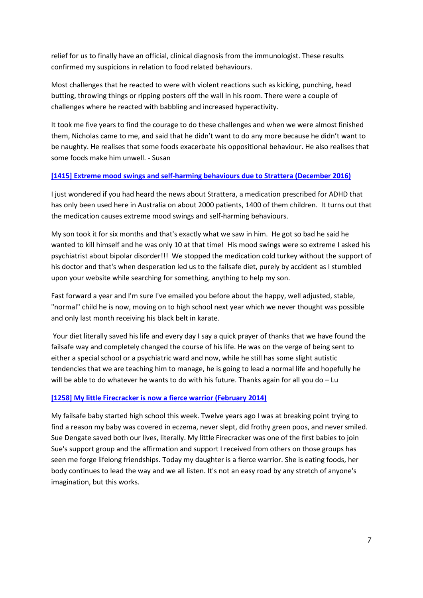relief for us to finally have an official, clinical diagnosis from the immunologist. These results confirmed my suspicions in relation to food related behaviours.

Most challenges that he reacted to were with violent reactions such as kicking, punching, head butting, throwing things or ripping posters off the wall in his room. There were a couple of challenges where he reacted with babbling and increased hyperactivity.

It took me five years to find the courage to do these challenges and when we were almost finished them, Nicholas came to me, and said that he didn't want to do any more because he didn't want to be naughty. He realises that some foods exacerbate his oppositional behaviour. He also realises that some foods make him unwell. - Susan

## **[\[1415\] Extreme mood swings and self-harming behaviours due to Strattera \(December 2016\)](http://www.fedup.com.au/stories/2016/1415-extreme-mood-swings-and-self-harming-behaviours-due-to-strattera-december-2016)**

I just wondered if you had heard the news about Strattera, a medication prescribed for ADHD that has only been used here in Australia on about 2000 patients, 1400 of them children. It turns out that the medication causes extreme mood swings and self-harming behaviours.

My son took it for six months and that's exactly what we saw in him. He got so bad he said he wanted to kill himself and he was only 10 at that time! His mood swings were so extreme I asked his psychiatrist about bipolar disorder!!! We stopped the medication cold turkey without the support of his doctor and that's when desperation led us to the failsafe diet, purely by accident as I stumbled upon your website while searching for something, anything to help my son.

Fast forward a year and I'm sure I've emailed you before about the happy, well adjusted, stable, "normal" child he is now, moving on to high school next year which we never thought was possible and only last month receiving his black belt in karate.

Your diet literally saved his life and every day I say a quick prayer of thanks that we have found the failsafe way and completely changed the course of his life. He was on the verge of being sent to either a special school or a psychiatric ward and now, while he still has some slight autistic tendencies that we are teaching him to manage, he is going to lead a normal life and hopefully he will be able to do whatever he wants to do with his future. Thanks again for all you do - Lu

## **[\[1258\] My little Firecracker is now a fierce warrior \(February 2014\)](http://www.fedup.com.au/stories/2014/1258-my-little-firecracker-is-now-a-fierce-warrior-february-2014)**

My failsafe baby started high school this week. Twelve years ago I was at breaking point trying to find a reason my baby was covered in eczema, never slept, did frothy green poos, and never smiled. Sue Dengate saved both our lives, literally. My little Firecracker was one of the first babies to join Sue's support group and the affirmation and support I received from others on those groups has seen me forge lifelong friendships. Today my daughter is a fierce warrior. She is eating foods, her body continues to lead the way and we all listen. It's not an easy road by any stretch of anyone's imagination, but this works.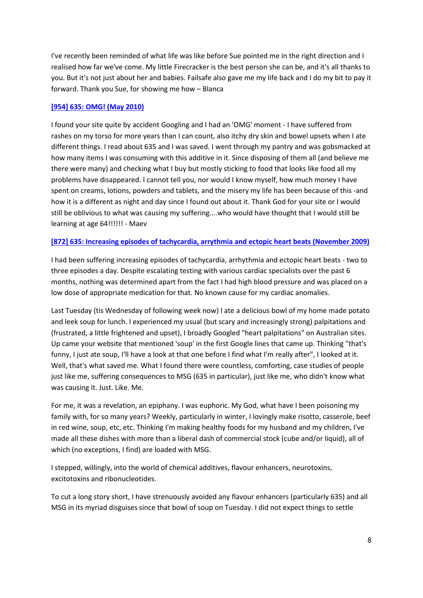I've recently been reminded of what life was like before Sue pointed me in the right direction and I realised how far we've come. My little Firecracker is the best person she can be, and it's all thanks to you. But it's not just about her and babies. Failsafe also gave me my life back and I do my bit to pay it forward. Thank you Sue, for showing me how – Blanca

#### **[\[954\] 635: OMG! \(May 2010\)](http://www.fedup.com.au/stories/2010/954-635-omg-may-2010)**

I found your site quite by accident Googling and I had an 'OMG' moment - I have suffered from rashes on my torso for more years than I can count, also itchy dry skin and bowel upsets when I ate different things. I read about 635 and I was saved. I went through my pantry and was gobsmacked at how many items I was consuming with this additive in it. Since disposing of them all (and believe me there were many) and checking what I buy but mostly sticking to food that looks like food all my problems have disappeared. I cannot tell you, nor would I know myself, how much money I have spent on creams, lotions, powders and tablets, and the misery my life has been because of this -and how it is a different as night and day since I found out about it. Thank God for your site or I would still be oblivious to what was causing my suffering....who would have thought that I would still be learning at age 64!!!!!! - Maev

#### **[\[872\] 635: Increasing episodes of tachycardia, arrythmia and ectopic heart beats \(November 2009\)](http://www.fedup.com.au/stories/2009/872-635-increasing-episodes-of-tachycardia-arrythmia-and-ectopic-heart-beats-november-2009)**

I had been suffering increasing episodes of tachycardia, arrhythmia and ectopic heart beats - two to three episodes a day. Despite escalating testing with various cardiac specialists over the past 6 months, nothing was determined apart from the fact I had high blood pressure and was placed on a low dose of appropriate medication for that. No known cause for my cardiac anomalies.

Last Tuesday (tis Wednesday of following week now) I ate a delicious bowl of my home made potato and leek soup for lunch. I experienced my usual (but scary and increasingly strong) palpitations and (frustrated, a little frightened and upset), I broadly Googled "heart palpitations" on Australian sites. Up came your website that mentioned 'soup' in the first Google lines that came up. Thinking "that's funny, I just ate soup, I'll have a look at that one before I find what I'm really after", I looked at it. Well, that's what saved me. What I found there were countless, comforting, case studies of people just like me, suffering consequences to MSG (635 in particular), just like me, who didn't know what was causing it. Just. Like. Me.

For me, it was a revelation, an epiphany. I was euphoric. My God, what have I been poisoning my family with, for so many years? Weekly, particularly in winter, I lovingly make risotto, casserole, beef in red wine, soup, etc, etc. Thinking I'm making healthy foods for my husband and my children, I've made all these dishes with more than a liberal dash of commercial stock (cube and/or liquid), all of which (no exceptions, I find) are loaded with MSG.

I stepped, willingly, into the world of chemical additives, flavour enhancers, neurotoxins, excitotoxins and ribonucleotides.

To cut a long story short, I have strenuously avoided any flavour enhancers (particularly 635) and all MSG in its myriad disguises since that bowl of soup on Tuesday. I did not expect things to settle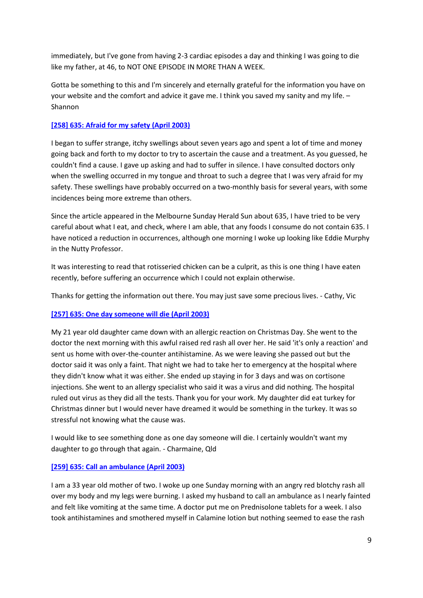immediately, but I've gone from having 2-3 cardiac episodes a day and thinking I was going to die like my father, at 46, to NOT ONE EPISODE IN MORE THAN A WEEK.

Gotta be something to this and I'm sincerely and eternally grateful for the information you have on your website and the comfort and advice it gave me. I think you saved my sanity and my life. – Shannon

## **[\[258\] 635: Afraid for my safety \(April 2003\)](http://www.fedup.com.au/stories/2003/256-635-he-said-food-additives-do-not-cause-a-long-lasting-reaction-like-this-april-2003)**

I began to suffer strange, itchy swellings about seven years ago and spent a lot of time and money going back and forth to my doctor to try to ascertain the cause and a treatment. As you guessed, he couldn't find a cause. I gave up asking and had to suffer in silence. I have consulted doctors only when the swelling occurred in my tongue and throat to such a degree that I was very afraid for my safety. These swellings have probably occurred on a two-monthly basis for several years, with some incidences being more extreme than others.

Since the article appeared in the Melbourne Sunday Herald Sun about 635, I have tried to be very careful about what I eat, and check, where I am able, that any foods I consume do not contain 635. I have noticed a reduction in occurrences, although one morning I woke up looking like Eddie Murphy in the Nutty Professor.

It was interesting to read that rotisseried chicken can be a culprit, as this is one thing I have eaten recently, before suffering an occurrence which I could not explain otherwise.

Thanks for getting the information out there. You may just save some precious lives. - Cathy, Vic

## **[\[257\] 635: One day someone will die \(April 2003\)](http://www.fedup.com.au/stories/2003/257-635-one-day-someone-will-die-april-2003)**

My 21 year old daughter came down with an allergic reaction on Christmas Day. She went to the doctor the next morning with this awful raised red rash all over her. He said 'it's only a reaction' and sent us home with over-the-counter antihistamine. As we were leaving she passed out but the doctor said it was only a faint. That night we had to take her to emergency at the hospital where they didn't know what it was either. She ended up staying in for 3 days and was on cortisone injections. She went to an allergy specialist who said it was a virus and did nothing. The hospital ruled out virus as they did all the tests. Thank you for your work. My daughter did eat turkey for Christmas dinner but I would never have dreamed it would be something in the turkey. It was so stressful not knowing what the cause was.

I would like to see something done as one day someone will die. I certainly wouldn't want my daughter to go through that again. - Charmaine, Qld

## **[\[259\] 635: Call an ambulance \(April 2003\)](http://www.fedup.com.au/stories/2003/259-635-call-an-ambulance-april-2003)**

I am a 33 year old mother of two. I woke up one Sunday morning with an angry red blotchy rash all over my body and my legs were burning. I asked my husband to call an ambulance as I nearly fainted and felt like vomiting at the same time. A doctor put me on Prednisolone tablets for a week. I also took antihistamines and smothered myself in Calamine lotion but nothing seemed to ease the rash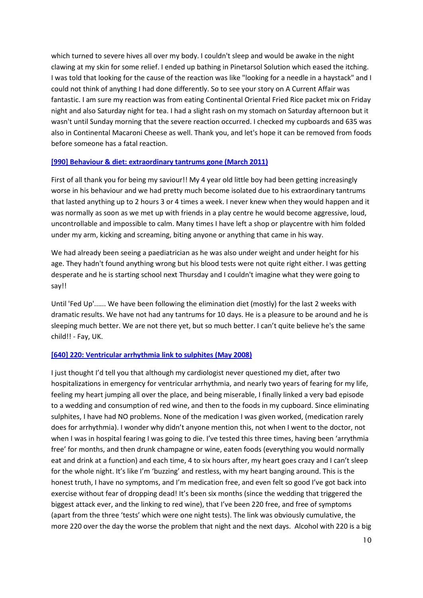which turned to severe hives all over my body. I couldn't sleep and would be awake in the night clawing at my skin for some relief. I ended up bathing in Pinetarsol Solution which eased the itching. I was told that looking for the cause of the reaction was like "looking for a needle in a haystack" and I could not think of anything I had done differently. So to see your story on A Current Affair was fantastic. I am sure my reaction was from eating Continental Oriental Fried Rice packet mix on Friday night and also Saturday night for tea. I had a slight rash on my stomach on Saturday afternoon but it wasn't until Sunday morning that the severe reaction occurred. I checked my cupboards and 635 was also in Continental Macaroni Cheese as well. Thank you, and let's hope it can be removed from foods before someone has a fatal reaction.

#### **[\[990\] Behaviour & diet: extraordinary tantrums gone \(March 2011\)](http://www.fedup.com.au/stories/2011/990-behaviour-a-diet-extraordinary-tantrums-gone-march-2011)**

First of all thank you for being my saviour!! My 4 year old little boy had been getting increasingly worse in his behaviour and we had pretty much become isolated due to his extraordinary tantrums that lasted anything up to 2 hours 3 or 4 times a week. I never knew when they would happen and it was normally as soon as we met up with friends in a play centre he would become aggressive, loud, uncontrollable and impossible to calm. Many times I have left a shop or playcentre with him folded under my arm, kicking and screaming, biting anyone or anything that came in his way.

We had already been seeing a paediatrician as he was also under weight and under height for his age. They hadn't found anything wrong but his blood tests were not quite right either. I was getting desperate and he is starting school next Thursday and I couldn't imagine what they were going to say!!

Until 'Fed Up'...... We have been following the elimination diet (mostly) for the last 2 weeks with dramatic results. We have not had any tantrums for 10 days. He is a pleasure to be around and he is sleeping much better. We are not there yet, but so much better. I can't quite believe he's the same child!! - Fay, UK.

## **[\[640\] 220: Ventricular arrhythmia link to sulphites \(May 2008\)](http://www.fedup.com.au/stories/2008/640-220-ventricular-arrhythmia-link-to-sulphites-may-2008)**

I just thought I'd tell you that although my cardiologist never questioned my diet, after two hospitalizations in emergency for ventricular arrhythmia, and nearly two years of fearing for my life, feeling my heart jumping all over the place, and being miserable, I finally linked a very bad episode to a wedding and consumption of red wine, and then to the foods in my cupboard. Since eliminating sulphites, I have had NO problems. None of the medication I was given worked, (medication rarely does for arrhythmia). I wonder why didn't anyone mention this, not when I went to the doctor, not when I was in hospital fearing I was going to die. I've tested this three times, having been 'arrythmia free' for months, and then drunk champagne or wine, eaten foods (everything you would normally eat and drink at a function) and each time, 4 to six hours after, my heart goes crazy and I can't sleep for the whole night. It's like I'm 'buzzing' and restless, with my heart banging around. This is the honest truth, I have no symptoms, and I'm medication free, and even felt so good I've got back into exercise without fear of dropping dead! It's been six months (since the wedding that triggered the biggest attack ever, and the linking to red wine), that I've been 220 free, and free of symptoms (apart from the three 'tests' which were one night tests). The link was obviously cumulative, the more 220 over the day the worse the problem that night and the next days. Alcohol with 220 is a big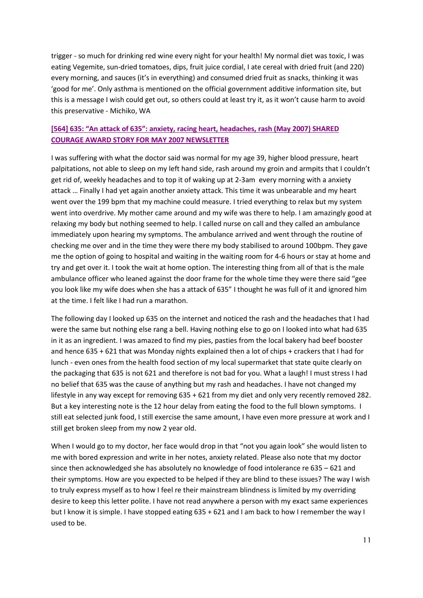trigger - so much for drinking red wine every night for your health! My normal diet was toxic, I was eating Vegemite, sun-dried tomatoes, dips, fruit juice cordial, I ate cereal with dried fruit (and 220) every morning, and sauces (it's in everything) and consumed dried fruit as snacks, thinking it was 'good for me'. Only asthma is mentioned on the official government additive information site, but this is a message I wish could get out, so others could at least try it, as it won't cause harm to avoid this preservative - Michiko, WA

## **[\[564\] 635: "An attack of 635": anxiety, racing heart, headaches, rash \(May 2007\) SHARED](http://www.fedup.com.au/stories/2007/564-635-an-attack-of-635-anxiety-racing-heart-headaches-rash-may-2007-shared-courage-award-story-for-may-2007-newsletter)  [COURAGE AWARD STORY FOR MAY 2007 NEWSLETTER](http://www.fedup.com.au/stories/2007/564-635-an-attack-of-635-anxiety-racing-heart-headaches-rash-may-2007-shared-courage-award-story-for-may-2007-newsletter)**

I was suffering with what the doctor said was normal for my age 39, higher blood pressure, heart palpitations, not able to sleep on my left hand side, rash around my groin and armpits that I couldn't get rid of, weekly headaches and to top it of waking up at 2-3am every morning with a anxiety attack … Finally I had yet again another anxiety attack. This time it was unbearable and my heart went over the 199 bpm that my machine could measure. I tried everything to relax but my system went into overdrive. My mother came around and my wife was there to help. I am amazingly good at relaxing my body but nothing seemed to help. I called nurse on call and they called an ambulance immediately upon hearing my symptoms. The ambulance arrived and went through the routine of checking me over and in the time they were there my body stabilised to around 100bpm. They gave me the option of going to hospital and waiting in the waiting room for 4-6 hours or stay at home and try and get over it. I took the wait at home option. The interesting thing from all of that is the male ambulance officer who leaned against the door frame for the whole time they were there said "gee you look like my wife does when she has a attack of 635" I thought he was full of it and ignored him at the time. I felt like I had run a marathon.

The following day I looked up 635 on the internet and noticed the rash and the headaches that I had were the same but nothing else rang a bell. Having nothing else to go on I looked into what had 635 in it as an ingredient. I was amazed to find my pies, pasties from the local bakery had beef booster and hence 635 + 621 that was Monday nights explained then a lot of chips + crackers that I had for lunch - even ones from the health food section of my local supermarket that state quite clearly on the packaging that 635 is not 621 and therefore is not bad for you. What a laugh! I must stress I had no belief that 635 was the cause of anything but my rash and headaches. I have not changed my lifestyle in any way except for removing 635 + 621 from my diet and only very recently removed 282. But a key interesting note is the 12 hour delay from eating the food to the full blown symptoms. I still eat selected junk food, I still exercise the same amount, I have even more pressure at work and I still get broken sleep from my now 2 year old.

When I would go to my doctor, her face would drop in that "not you again look" she would listen to me with bored expression and write in her notes, anxiety related. Please also note that my doctor since then acknowledged she has absolutely no knowledge of food intolerance re 635 – 621 and their symptoms. How are you expected to be helped if they are blind to these issues? The way I wish to truly express myself as to how I feel re their mainstream blindness is limited by my overriding desire to keep this letter polite. I have not read anywhere a person with my exact same experiences but I know it is simple. I have stopped eating 635 + 621 and I am back to how I remember the way I used to be.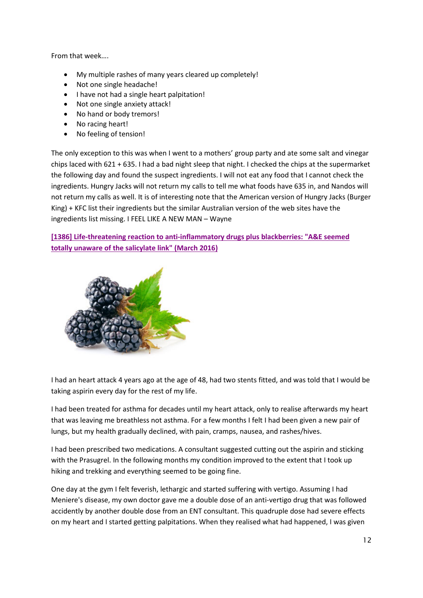From that week….

- My multiple rashes of many years cleared up completely!
- Not one single headache!
- I have not had a single heart palpitation!
- Not one single anxiety attack!
- No hand or body tremors!
- No racing heart!
- No feeling of tension!

The only exception to this was when I went to a mothers' group party and ate some salt and vinegar chips laced with 621 + 635. I had a bad night sleep that night. I checked the chips at the supermarket the following day and found the suspect ingredients. I will not eat any food that I cannot check the ingredients. Hungry Jacks will not return my calls to tell me what foods have 635 in, and Nandos will not return my calls as well. It is of interesting note that the American version of Hungry Jacks (Burger King) + KFC list their ingredients but the similar Australian version of the web sites have the ingredients list missing. I FEEL LIKE A NEW MAN – Wayne

**[\[1386\] Life-threatening reaction to anti-inflammatory drugs plus blackberries: "A&E seemed](http://www.fedup.com.au/stories/2016/1386-life-threatening-reaction-to-anti-inflammatory-drugs-plus-blackberries-a-e-seemed-totally-unaware-of-the-salicylate-link-march-2016)  [totally unaware of the salicylate link" \(March 2016\)](http://www.fedup.com.au/stories/2016/1386-life-threatening-reaction-to-anti-inflammatory-drugs-plus-blackberries-a-e-seemed-totally-unaware-of-the-salicylate-link-march-2016)**



I had an heart attack 4 years ago at the age of 48, had two stents fitted, and was told that I would be taking aspirin every day for the rest of my life.

I had been treated for asthma for decades until my heart attack, only to realise afterwards my heart that was leaving me breathless not asthma. For a few months I felt I had been given a new pair of lungs, but my health gradually declined, with pain, cramps, nausea, and rashes/hives.

I had been prescribed two medications. A consultant suggested cutting out the aspirin and sticking with the Prasugrel. In the following months my condition improved to the extent that I took up hiking and trekking and everything seemed to be going fine.

One day at the gym I felt feverish, lethargic and started suffering with vertigo. Assuming I had Meniere's disease, my own doctor gave me a double dose of an anti-vertigo drug that was followed accidently by another double dose from an ENT consultant. This quadruple dose had severe effects on my heart and I started getting palpitations. When they realised what had happened, I was given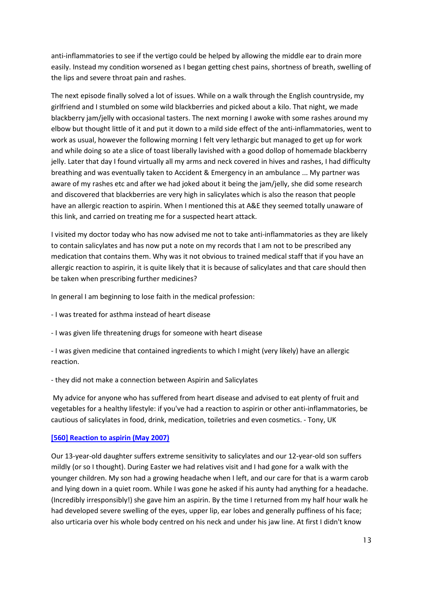anti-inflammatories to see if the vertigo could be helped by allowing the middle ear to drain more easily. Instead my condition worsened as I began getting chest pains, shortness of breath, swelling of the lips and severe throat pain and rashes.

The next episode finally solved a lot of issues. While on a walk through the English countryside, my girlfriend and I stumbled on some wild blackberries and picked about a kilo. That night, we made blackberry jam/jelly with occasional tasters. The next morning I awoke with some rashes around my elbow but thought little of it and put it down to a mild side effect of the anti-inflammatories, went to work as usual, however the following morning I felt very lethargic but managed to get up for work and while doing so ate a slice of toast liberally lavished with a good dollop of homemade blackberry jelly. Later that day I found virtually all my arms and neck covered in hives and rashes, I had difficulty breathing and was eventually taken to Accident & Emergency in an ambulance ... My partner was aware of my rashes etc and after we had joked about it being the jam/jelly, she did some research and discovered that blackberries are very high in salicylates which is also the reason that people have an allergic reaction to aspirin. When I mentioned this at A&E they seemed totally unaware of this link, and carried on treating me for a suspected heart attack.

I visited my doctor today who has now advised me not to take anti-inflammatories as they are likely to contain salicylates and has now put a note on my records that I am not to be prescribed any medication that contains them. Why was it not obvious to trained medical staff that if you have an allergic reaction to aspirin, it is quite likely that it is because of salicylates and that care should then be taken when prescribing further medicines?

In general I am beginning to lose faith in the medical profession:

- I was treated for asthma instead of heart disease
- I was given life threatening drugs for someone with heart disease

- I was given medicine that contained ingredients to which I might (very likely) have an allergic reaction.

- they did not make a connection between Aspirin and Salicylates

My advice for anyone who has suffered from heart disease and advised to eat plenty of fruit and vegetables for a healthy lifestyle: if you've had a reaction to aspirin or other anti-inflammatories, be cautious of salicylates in food, drink, medication, toiletries and even cosmetics. - Tony, UK

#### **[\[560\] Reaction to aspirin \(May 2007\)](http://www.fedup.com.au/stories/2007/560-reaction-to-aspirin-may-2007)**

Our 13-year-old daughter suffers extreme sensitivity to salicylates and our 12-year-old son suffers mildly (or so I thought). During Easter we had relatives visit and I had gone for a walk with the younger children. My son had a growing headache when I left, and our care for that is a warm carob and lying down in a quiet room. While I was gone he asked if his aunty had anything for a headache. (Incredibly irresponsibly!) she gave him an aspirin. By the time I returned from my half hour walk he had developed severe swelling of the eyes, upper lip, ear lobes and generally puffiness of his face; also urticaria over his whole body centred on his neck and under his jaw line. At first I didn't know